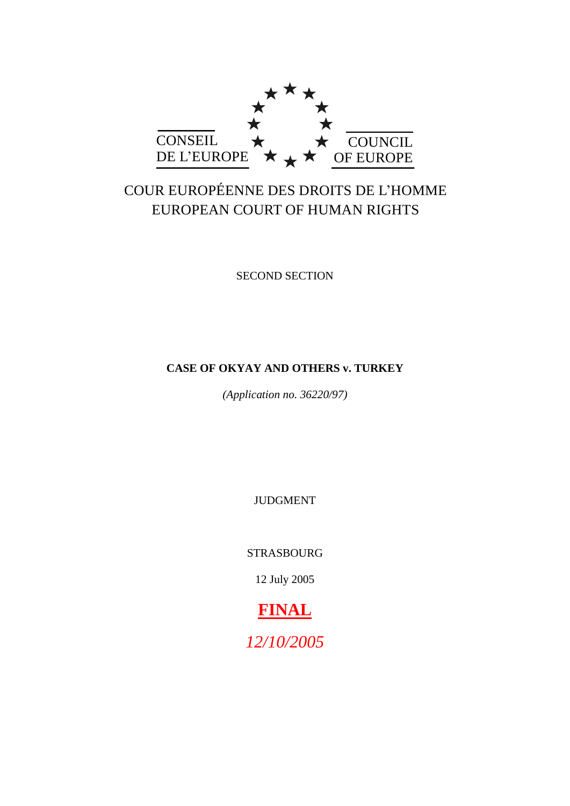

# COUR EUROPÉENNE DES DROITS DE L'HOMME EUROPEAN COURT OF HUMAN RIGHTS

SECOND SECTION

# **CASE OF OKYAY AND OTHERS v. TURKEY**

*(Application no. 36220/97)*

JUDGMENT

STRASBOURG

12 July 2005

# **FINAL**

*12/10/2005*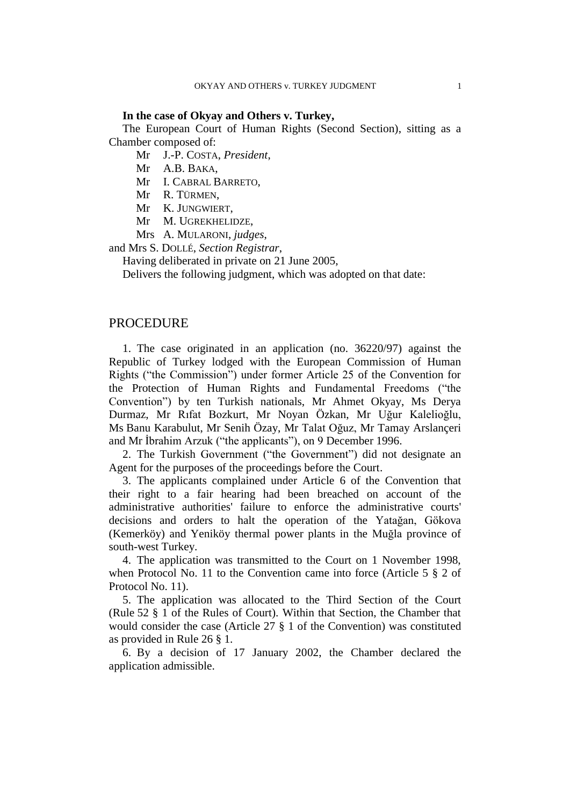## **In the case of Okyay and Others v. Turkey,**

The European Court of Human Rights (Second Section), sitting as a Chamber composed of:

Mr J.-P. COSTA, *President*,

Mr A.B. BAKA,

Mr I. CABRAL BARRETO,

Mr R. TÜRMEN,

Mr K. JUNGWIERT,

Mr M. UGREKHELIDZE,

Mrs A. MULARONI, *judges*,

and Mrs S. DOLLÉ, *Section Registrar*,

Having deliberated in private on 21 June 2005,

Delivers the following judgment, which was adopted on that date:

## PROCEDURE

1. The case originated in an application (no. 36220/97) against the Republic of Turkey lodged with the European Commission of Human Rights ("the Commission") under former Article 25 of the Convention for the Protection of Human Rights and Fundamental Freedoms ("the Convention") by ten Turkish nationals, Mr Ahmet Okyay, Ms Derya Durmaz, Mr Rıfat Bozkurt, Mr Noyan Özkan, Mr Uğur Kalelioğlu, Ms Banu Karabulut, Mr Senih Özay, Mr Talat Oğuz, Mr Tamay Arslançeri and Mr İbrahim Arzuk ("the applicants"), on 9 December 1996.

2. The Turkish Government ("the Government") did not designate an Agent for the purposes of the proceedings before the Court.

3. The applicants complained under Article 6 of the Convention that their right to a fair hearing had been breached on account of the administrative authorities' failure to enforce the administrative courts' decisions and orders to halt the operation of the Yatağan, Gökova (Kemerköy) and Yeniköy thermal power plants in the Muğla province of south-west Turkey.

4. The application was transmitted to the Court on 1 November 1998, when Protocol No. 11 to the Convention came into force (Article 5 § 2 of Protocol No. 11).

5. The application was allocated to the Third Section of the Court (Rule 52 § 1 of the Rules of Court). Within that Section, the Chamber that would consider the case (Article 27 § 1 of the Convention) was constituted as provided in Rule 26 § 1.

6. By a decision of 17 January 2002, the Chamber declared the application admissible.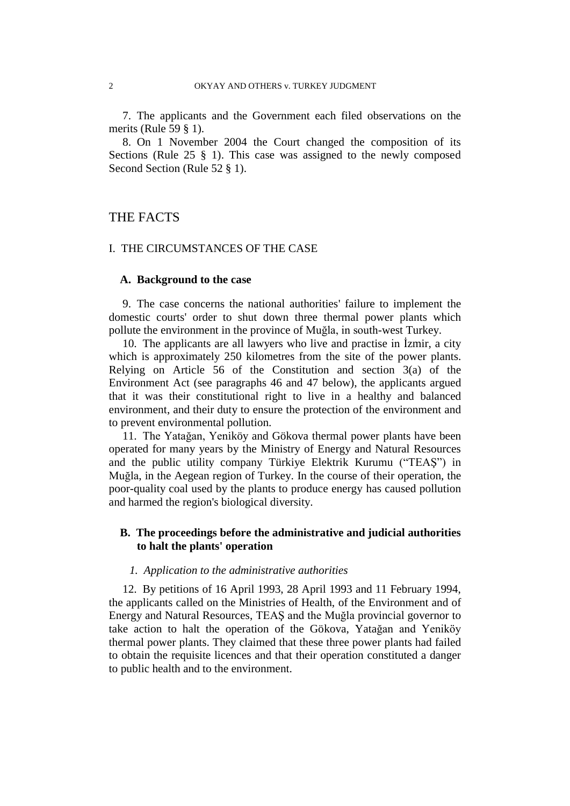7. The applicants and the Government each filed observations on the merits (Rule 59 § 1).

8. On 1 November 2004 the Court changed the composition of its Sections (Rule 25 § 1). This case was assigned to the newly composed Second Section (Rule 52 § 1).

# THE FACTS

## I. THE CIRCUMSTANCES OF THE CASE

## **A. Background to the case**

9. The case concerns the national authorities' failure to implement the domestic courts' order to shut down three thermal power plants which pollute the environment in the province of Muğla, in south-west Turkey.

10. The applicants are all lawyers who live and practise in İzmir, a city which is approximately 250 kilometres from the site of the power plants. Relying on Article 56 of the Constitution and section 3(a) of the Environment Act (see paragraphs 46 and 47 below), the applicants argued that it was their constitutional right to live in a healthy and balanced environment, and their duty to ensure the protection of the environment and to prevent environmental pollution.

11. The Yatağan, Yeniköy and Gökova thermal power plants have been operated for many years by the Ministry of Energy and Natural Resources and the public utility company Türkiye Elektrik Kurumu ("TEAŞ") in Muğla, in the Aegean region of Turkey. In the course of their operation, the poor-quality coal used by the plants to produce energy has caused pollution and harmed the region's biological diversity.

## **B. The proceedings before the administrative and judicial authorities to halt the plants' operation**

## *1. Application to the administrative authorities*

12. By petitions of 16 April 1993, 28 April 1993 and 11 February 1994, the applicants called on the Ministries of Health, of the Environment and of Energy and Natural Resources, TEAŞ and the Muğla provincial governor to take action to halt the operation of the Gökova, Yatağan and Yeniköy thermal power plants. They claimed that these three power plants had failed to obtain the requisite licences and that their operation constituted a danger to public health and to the environment.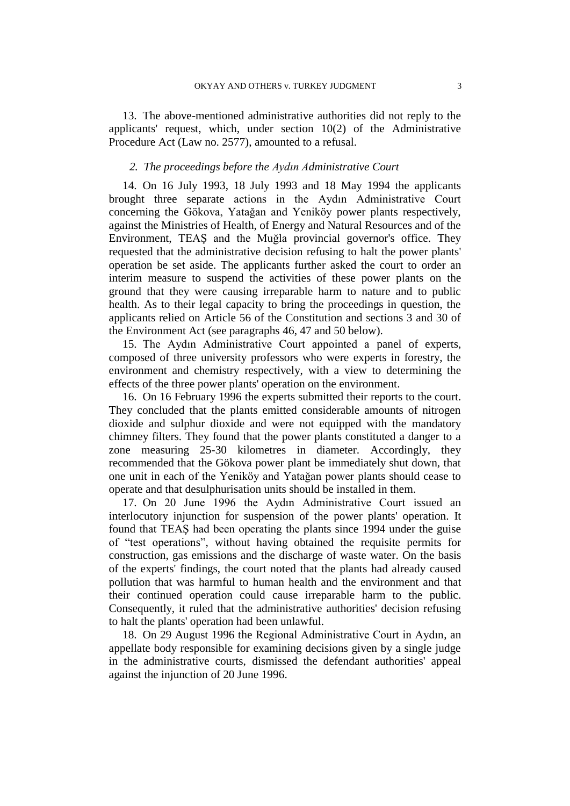13. The above-mentioned administrative authorities did not reply to the applicants' request, which, under section 10(2) of the Administrative Procedure Act (Law no. 2577), amounted to a refusal.

## *2. The proceedings before the Aydın Administrative Court*

14. On 16 July 1993, 18 July 1993 and 18 May 1994 the applicants brought three separate actions in the Aydın Administrative Court concerning the Gökova, Yatağan and Yeniköy power plants respectively, against the Ministries of Health, of Energy and Natural Resources and of the Environment, TEAŞ and the Muğla provincial governor's office. They requested that the administrative decision refusing to halt the power plants' operation be set aside. The applicants further asked the court to order an interim measure to suspend the activities of these power plants on the ground that they were causing irreparable harm to nature and to public health. As to their legal capacity to bring the proceedings in question, the applicants relied on Article 56 of the Constitution and sections 3 and 30 of the Environment Act (see paragraphs 46, 47 and 50 below).

15. The Aydın Administrative Court appointed a panel of experts, composed of three university professors who were experts in forestry, the environment and chemistry respectively, with a view to determining the effects of the three power plants' operation on the environment.

16. On 16 February 1996 the experts submitted their reports to the court. They concluded that the plants emitted considerable amounts of nitrogen dioxide and sulphur dioxide and were not equipped with the mandatory chimney filters. They found that the power plants constituted a danger to a zone measuring 25-30 kilometres in diameter. Accordingly, they recommended that the Gökova power plant be immediately shut down, that one unit in each of the Yeniköy and Yatağan power plants should cease to operate and that desulphurisation units should be installed in them.

17. On 20 June 1996 the Aydın Administrative Court issued an interlocutory injunction for suspension of the power plants' operation. It found that TEAŞ had been operating the plants since 1994 under the guise of "test operations", without having obtained the requisite permits for construction, gas emissions and the discharge of waste water. On the basis of the experts' findings, the court noted that the plants had already caused pollution that was harmful to human health and the environment and that their continued operation could cause irreparable harm to the public. Consequently, it ruled that the administrative authorities' decision refusing to halt the plants' operation had been unlawful.

18. On 29 August 1996 the Regional Administrative Court in Aydın, an appellate body responsible for examining decisions given by a single judge in the administrative courts, dismissed the defendant authorities' appeal against the injunction of 20 June 1996.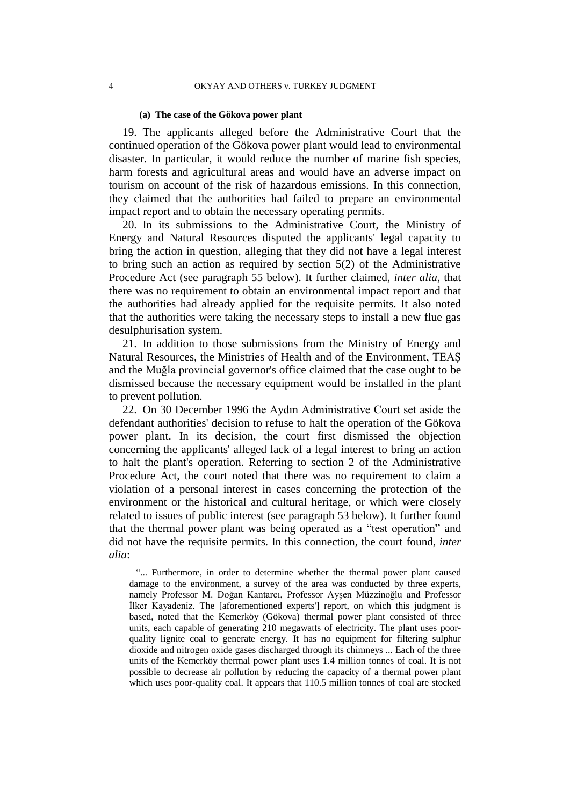#### **(a) The case of the Gökova power plant**

19. The applicants alleged before the Administrative Court that the continued operation of the Gökova power plant would lead to environmental disaster. In particular, it would reduce the number of marine fish species, harm forests and agricultural areas and would have an adverse impact on tourism on account of the risk of hazardous emissions. In this connection, they claimed that the authorities had failed to prepare an environmental impact report and to obtain the necessary operating permits.

20. In its submissions to the Administrative Court, the Ministry of Energy and Natural Resources disputed the applicants' legal capacity to bring the action in question, alleging that they did not have a legal interest to bring such an action as required by section 5(2) of the Administrative Procedure Act (see paragraph 55 below). It further claimed, *inter alia*, that there was no requirement to obtain an environmental impact report and that the authorities had already applied for the requisite permits. It also noted that the authorities were taking the necessary steps to install a new flue gas desulphurisation system.

21. In addition to those submissions from the Ministry of Energy and Natural Resources, the Ministries of Health and of the Environment, TEAŞ and the Muğla provincial governor's office claimed that the case ought to be dismissed because the necessary equipment would be installed in the plant to prevent pollution.

22. On 30 December 1996 the Aydın Administrative Court set aside the defendant authorities' decision to refuse to halt the operation of the Gökova power plant. In its decision, the court first dismissed the objection concerning the applicants' alleged lack of a legal interest to bring an action to halt the plant's operation. Referring to section 2 of the Administrative Procedure Act, the court noted that there was no requirement to claim a violation of a personal interest in cases concerning the protection of the environment or the historical and cultural heritage, or which were closely related to issues of public interest (see paragraph 53 below). It further found that the thermal power plant was being operated as a "test operation" and did not have the requisite permits. In this connection, the court found, *inter alia*:

"... Furthermore, in order to determine whether the thermal power plant caused damage to the environment, a survey of the area was conducted by three experts, namely Professor M. Doğan Kantarcı, Professor Ayşen Müzzinoğlu and Professor İlker Kayadeniz. The [aforementioned experts'] report, on which this judgment is based, noted that the Kemerköy (Gökova) thermal power plant consisted of three units, each capable of generating 210 megawatts of electricity. The plant uses poorquality lignite coal to generate energy. It has no equipment for filtering sulphur dioxide and nitrogen oxide gases discharged through its chimneys ... Each of the three units of the Kemerköy thermal power plant uses 1.4 million tonnes of coal. It is not possible to decrease air pollution by reducing the capacity of a thermal power plant which uses poor-quality coal. It appears that 110.5 million tonnes of coal are stocked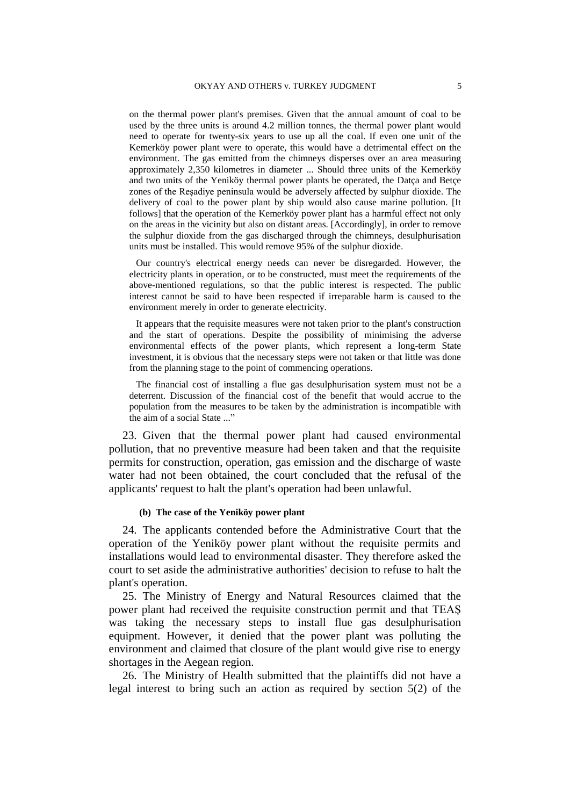on the thermal power plant's premises. Given that the annual amount of coal to be used by the three units is around 4.2 million tonnes, the thermal power plant would need to operate for twenty-six years to use up all the coal. If even one unit of the Kemerköy power plant were to operate, this would have a detrimental effect on the environment. The gas emitted from the chimneys disperses over an area measuring approximately 2,350 kilometres in diameter ... Should three units of the Kemerköy and two units of the Yeniköy thermal power plants be operated, the Datça and Betçe zones of the Reşadiye peninsula would be adversely affected by sulphur dioxide. The delivery of coal to the power plant by ship would also cause marine pollution. [It follows] that the operation of the Kemerköy power plant has a harmful effect not only on the areas in the vicinity but also on distant areas. [Accordingly], in order to remove the sulphur dioxide from the gas discharged through the chimneys, desulphurisation units must be installed. This would remove 95% of the sulphur dioxide.

Our country's electrical energy needs can never be disregarded. However, the electricity plants in operation, or to be constructed, must meet the requirements of the above-mentioned regulations, so that the public interest is respected. The public interest cannot be said to have been respected if irreparable harm is caused to the environment merely in order to generate electricity.

It appears that the requisite measures were not taken prior to the plant's construction and the start of operations. Despite the possibility of minimising the adverse environmental effects of the power plants, which represent a long-term State investment, it is obvious that the necessary steps were not taken or that little was done from the planning stage to the point of commencing operations.

The financial cost of installing a flue gas desulphurisation system must not be a deterrent. Discussion of the financial cost of the benefit that would accrue to the population from the measures to be taken by the administration is incompatible with the aim of a social State ..."

23. Given that the thermal power plant had caused environmental pollution, that no preventive measure had been taken and that the requisite permits for construction, operation, gas emission and the discharge of waste water had not been obtained, the court concluded that the refusal of the applicants' request to halt the plant's operation had been unlawful.

#### **(b) The case of the Yeniköy power plant**

24. The applicants contended before the Administrative Court that the operation of the Yeniköy power plant without the requisite permits and installations would lead to environmental disaster. They therefore asked the court to set aside the administrative authorities' decision to refuse to halt the plant's operation.

25. The Ministry of Energy and Natural Resources claimed that the power plant had received the requisite construction permit and that TEAŞ was taking the necessary steps to install flue gas desulphurisation equipment. However, it denied that the power plant was polluting the environment and claimed that closure of the plant would give rise to energy shortages in the Aegean region.

26. The Ministry of Health submitted that the plaintiffs did not have a legal interest to bring such an action as required by section 5(2) of the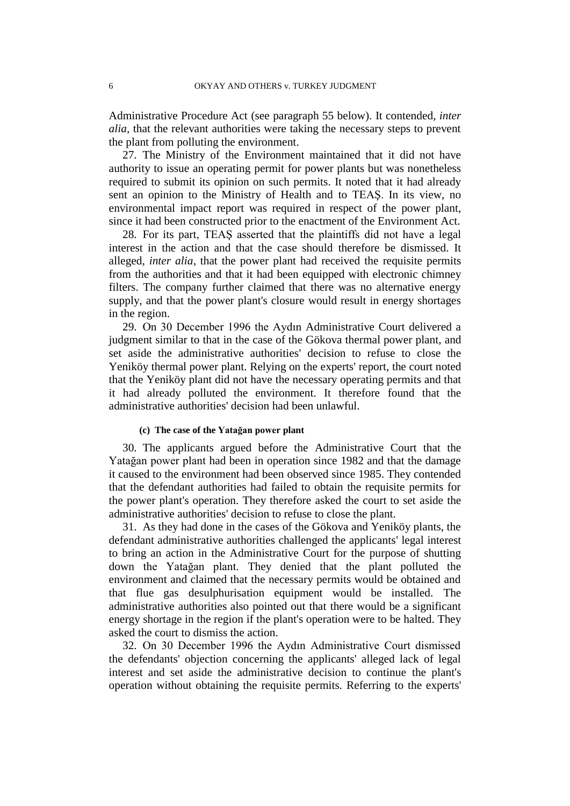Administrative Procedure Act (see paragraph 55 below). It contended, *inter alia*, that the relevant authorities were taking the necessary steps to prevent the plant from polluting the environment.

27. The Ministry of the Environment maintained that it did not have authority to issue an operating permit for power plants but was nonetheless required to submit its opinion on such permits. It noted that it had already sent an opinion to the Ministry of Health and to TEAŞ. In its view, no environmental impact report was required in respect of the power plant, since it had been constructed prior to the enactment of the Environment Act.

28. For its part, TEAŞ asserted that the plaintiffs did not have a legal interest in the action and that the case should therefore be dismissed. It alleged, *inter alia*, that the power plant had received the requisite permits from the authorities and that it had been equipped with electronic chimney filters. The company further claimed that there was no alternative energy supply, and that the power plant's closure would result in energy shortages in the region.

29. On 30 December 1996 the Aydın Administrative Court delivered a judgment similar to that in the case of the Gökova thermal power plant, and set aside the administrative authorities' decision to refuse to close the Yeniköy thermal power plant. Relying on the experts' report, the court noted that the Yeniköy plant did not have the necessary operating permits and that it had already polluted the environment. It therefore found that the administrative authorities' decision had been unlawful.

#### **(c) The case of the Yatağan power plant**

30. The applicants argued before the Administrative Court that the Yatağan power plant had been in operation since 1982 and that the damage it caused to the environment had been observed since 1985. They contended that the defendant authorities had failed to obtain the requisite permits for the power plant's operation. They therefore asked the court to set aside the administrative authorities' decision to refuse to close the plant.

31. As they had done in the cases of the Gökova and Yeniköy plants, the defendant administrative authorities challenged the applicants' legal interest to bring an action in the Administrative Court for the purpose of shutting down the Yatağan plant. They denied that the plant polluted the environment and claimed that the necessary permits would be obtained and that flue gas desulphurisation equipment would be installed. The administrative authorities also pointed out that there would be a significant energy shortage in the region if the plant's operation were to be halted. They asked the court to dismiss the action.

32. On 30 December 1996 the Aydın Administrative Court dismissed the defendants' objection concerning the applicants' alleged lack of legal interest and set aside the administrative decision to continue the plant's operation without obtaining the requisite permits. Referring to the experts'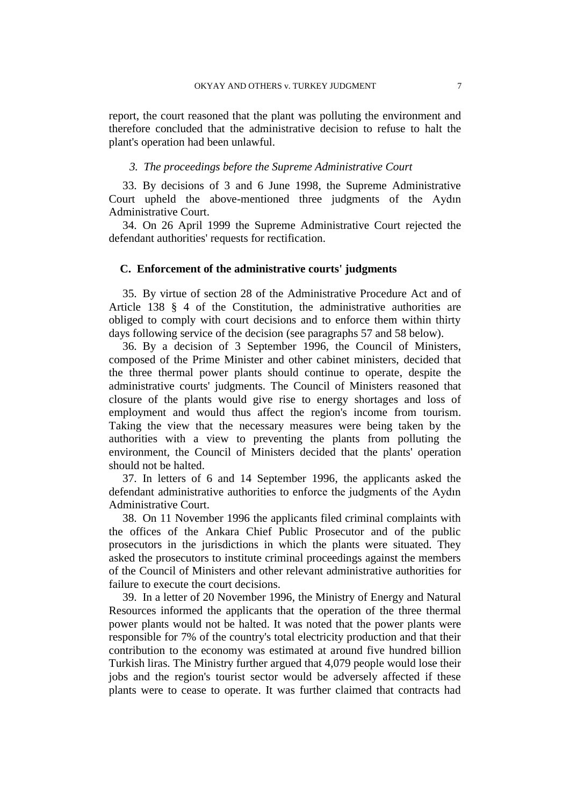report, the court reasoned that the plant was polluting the environment and therefore concluded that the administrative decision to refuse to halt the plant's operation had been unlawful.

## *3. The proceedings before the Supreme Administrative Court*

33. By decisions of 3 and 6 June 1998, the Supreme Administrative Court upheld the above-mentioned three judgments of the Aydın Administrative Court.

34. On 26 April 1999 the Supreme Administrative Court rejected the defendant authorities' requests for rectification.

## **C. Enforcement of the administrative courts' judgments**

35. By virtue of section 28 of the Administrative Procedure Act and of Article 138 § 4 of the Constitution, the administrative authorities are obliged to comply with court decisions and to enforce them within thirty days following service of the decision (see paragraphs 57 and 58 below).

36. By a decision of 3 September 1996, the Council of Ministers, composed of the Prime Minister and other cabinet ministers, decided that the three thermal power plants should continue to operate, despite the administrative courts' judgments. The Council of Ministers reasoned that closure of the plants would give rise to energy shortages and loss of employment and would thus affect the region's income from tourism. Taking the view that the necessary measures were being taken by the authorities with a view to preventing the plants from polluting the environment, the Council of Ministers decided that the plants' operation should not be halted.

37. In letters of 6 and 14 September 1996, the applicants asked the defendant administrative authorities to enforce the judgments of the Aydın Administrative Court.

38. On 11 November 1996 the applicants filed criminal complaints with the offices of the Ankara Chief Public Prosecutor and of the public prosecutors in the jurisdictions in which the plants were situated. They asked the prosecutors to institute criminal proceedings against the members of the Council of Ministers and other relevant administrative authorities for failure to execute the court decisions.

39. In a letter of 20 November 1996, the Ministry of Energy and Natural Resources informed the applicants that the operation of the three thermal power plants would not be halted. It was noted that the power plants were responsible for 7% of the country's total electricity production and that their contribution to the economy was estimated at around five hundred billion Turkish liras. The Ministry further argued that 4,079 people would lose their jobs and the region's tourist sector would be adversely affected if these plants were to cease to operate. It was further claimed that contracts had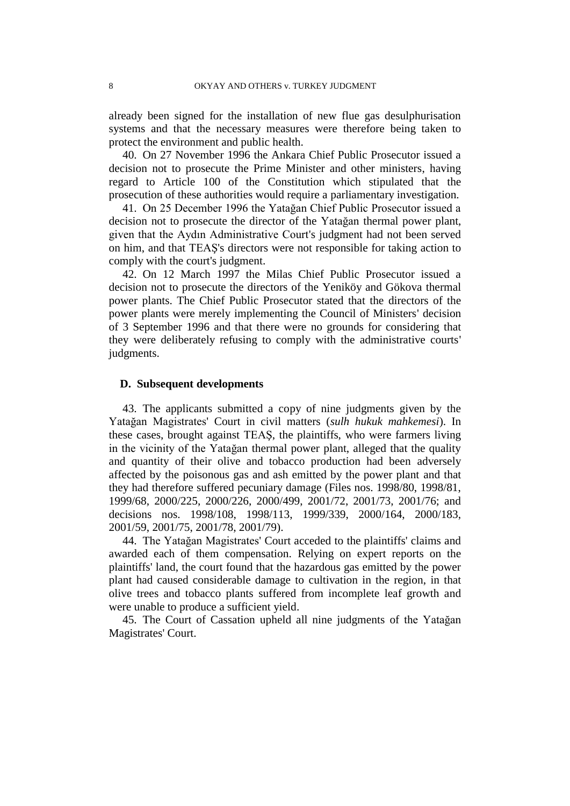already been signed for the installation of new flue gas desulphurisation systems and that the necessary measures were therefore being taken to protect the environment and public health.

40. On 27 November 1996 the Ankara Chief Public Prosecutor issued a decision not to prosecute the Prime Minister and other ministers, having regard to Article 100 of the Constitution which stipulated that the prosecution of these authorities would require a parliamentary investigation.

41. On 25 December 1996 the Yatağan Chief Public Prosecutor issued a decision not to prosecute the director of the Yatağan thermal power plant, given that the Aydın Administrative Court's judgment had not been served on him, and that TEAŞ's directors were not responsible for taking action to comply with the court's judgment.

42. On 12 March 1997 the Milas Chief Public Prosecutor issued a decision not to prosecute the directors of the Yeniköy and Gökova thermal power plants. The Chief Public Prosecutor stated that the directors of the power plants were merely implementing the Council of Ministers' decision of 3 September 1996 and that there were no grounds for considering that they were deliberately refusing to comply with the administrative courts' judgments.

## **D. Subsequent developments**

43. The applicants submitted a copy of nine judgments given by the Yatağan Magistrates' Court in civil matters (*sulh hukuk mahkemesi*). In these cases, brought against TEAŞ, the plaintiffs, who were farmers living in the vicinity of the Yatağan thermal power plant, alleged that the quality and quantity of their olive and tobacco production had been adversely affected by the poisonous gas and ash emitted by the power plant and that they had therefore suffered pecuniary damage (Files nos. 1998/80, 1998/81, 1999/68, 2000/225, 2000/226, 2000/499, 2001/72, 2001/73, 2001/76; and decisions nos. 1998/108, 1998/113, 1999/339, 2000/164, 2000/183, 2001/59, 2001/75, 2001/78, 2001/79).

44. The Yatağan Magistrates' Court acceded to the plaintiffs' claims and awarded each of them compensation. Relying on expert reports on the plaintiffs' land, the court found that the hazardous gas emitted by the power plant had caused considerable damage to cultivation in the region, in that olive trees and tobacco plants suffered from incomplete leaf growth and were unable to produce a sufficient yield.

45. The Court of Cassation upheld all nine judgments of the Yatağan Magistrates' Court.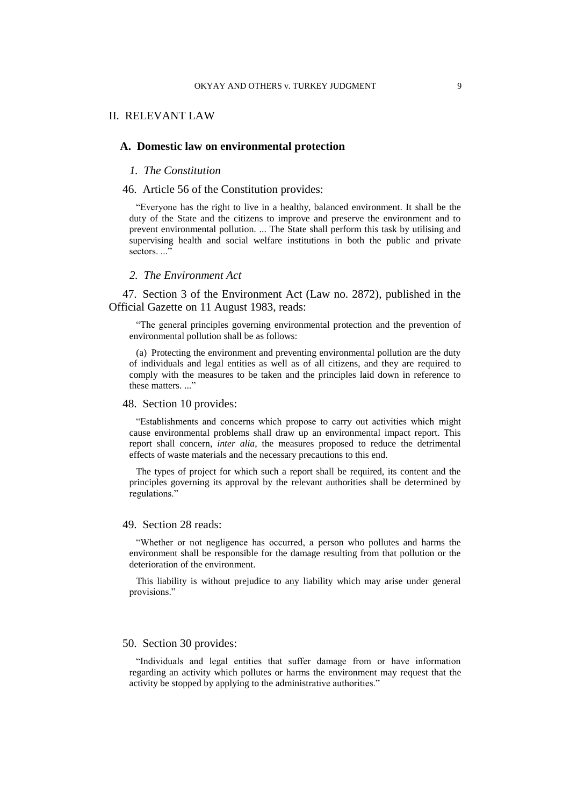## II. RELEVANT LAW

## **A. Domestic law on environmental protection**

#### *1. The Constitution*

#### 46. Article 56 of the Constitution provides:

"Everyone has the right to live in a healthy, balanced environment. It shall be the duty of the State and the citizens to improve and preserve the environment and to prevent environmental pollution. ... The State shall perform this task by utilising and supervising health and social welfare institutions in both the public and private sectors...."

#### *2. The Environment Act*

47. Section 3 of the Environment Act (Law no. 2872), published in the Official Gazette on 11 August 1983, reads:

"The general principles governing environmental protection and the prevention of environmental pollution shall be as follows:

(a) Protecting the environment and preventing environmental pollution are the duty of individuals and legal entities as well as of all citizens, and they are required to comply with the measures to be taken and the principles laid down in reference to these matters..."

## 48. Section 10 provides:

"Establishments and concerns which propose to carry out activities which might cause environmental problems shall draw up an environmental impact report. This report shall concern, *inter alia*, the measures proposed to reduce the detrimental effects of waste materials and the necessary precautions to this end.

The types of project for which such a report shall be required, its content and the principles governing its approval by the relevant authorities shall be determined by regulations."

#### 49. Section 28 reads:

"Whether or not negligence has occurred, a person who pollutes and harms the environment shall be responsible for the damage resulting from that pollution or the deterioration of the environment.

This liability is without prejudice to any liability which may arise under general provisions."

## 50. Section 30 provides:

"Individuals and legal entities that suffer damage from or have information regarding an activity which pollutes or harms the environment may request that the activity be stopped by applying to the administrative authorities."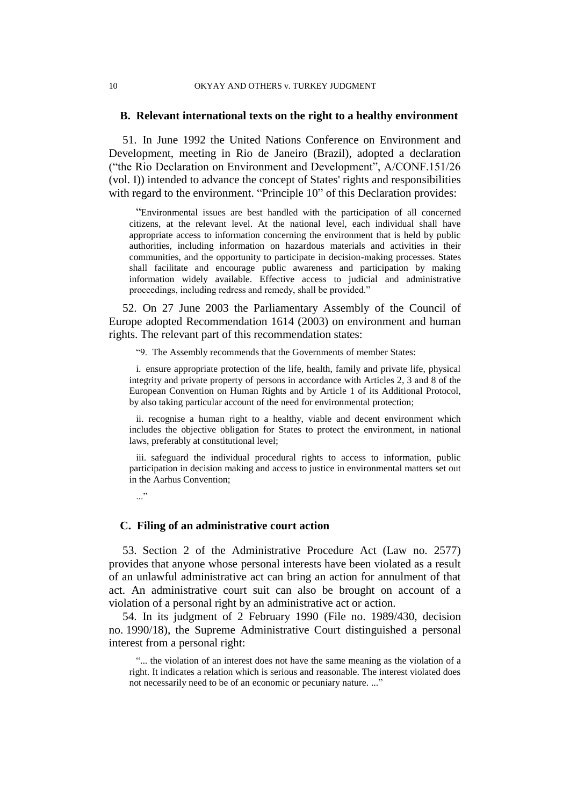#### 10 OKYAY AND OTHERS v. TURKEY JUDGMENT

## **B. Relevant international texts on the right to a healthy environment**

51. In June 1992 the United Nations Conference on Environment and Development, meeting in Rio de Janeiro (Brazil), adopted a declaration ("the Rio Declaration on Environment and Development", A/CONF.151/26 (vol. I)) intended to advance the concept of States' rights and responsibilities with regard to the environment. "Principle 10" of this Declaration provides:

"Environmental issues are best handled with the participation of all concerned citizens, at the relevant level. At the national level, each individual shall have appropriate access to information concerning the environment that is held by public authorities, including information on hazardous materials and activities in their communities, and the opportunity to participate in decision-making processes. States shall facilitate and encourage public awareness and participation by making information widely available. Effective access to judicial and administrative proceedings, including redress and remedy, shall be provided."

52. On 27 June 2003 the Parliamentary Assembly of the Council of Europe adopted Recommendation 1614 (2003) on environment and human rights. The relevant part of this recommendation states:

"9. The Assembly recommends that the Governments of member States:

i. ensure appropriate protection of the life, health, family and private life, physical integrity and private property of persons in accordance with Articles 2, 3 and 8 of the European Convention on Human Rights and by Article 1 of its Additional Protocol, by also taking particular account of the need for environmental protection;

ii. recognise a human right to a healthy, viable and decent environment which includes the objective obligation for States to protect the environment, in national laws, preferably at constitutional level;

iii. safeguard the individual procedural rights to access to information, public participation in decision making and access to justice in environmental matters set out in the Aarhus Convention;

..."

## **C. Filing of an administrative court action**

53. Section 2 of the Administrative Procedure Act (Law no. 2577) provides that anyone whose personal interests have been violated as a result of an unlawful administrative act can bring an action for annulment of that act. An administrative court suit can also be brought on account of a violation of a personal right by an administrative act or action.

54. In its judgment of 2 February 1990 (File no. 1989/430, decision no. 1990/18), the Supreme Administrative Court distinguished a personal interest from a personal right:

<sup>&</sup>quot;... the violation of an interest does not have the same meaning as the violation of a right. It indicates a relation which is serious and reasonable. The interest violated does not necessarily need to be of an economic or pecuniary nature. ..."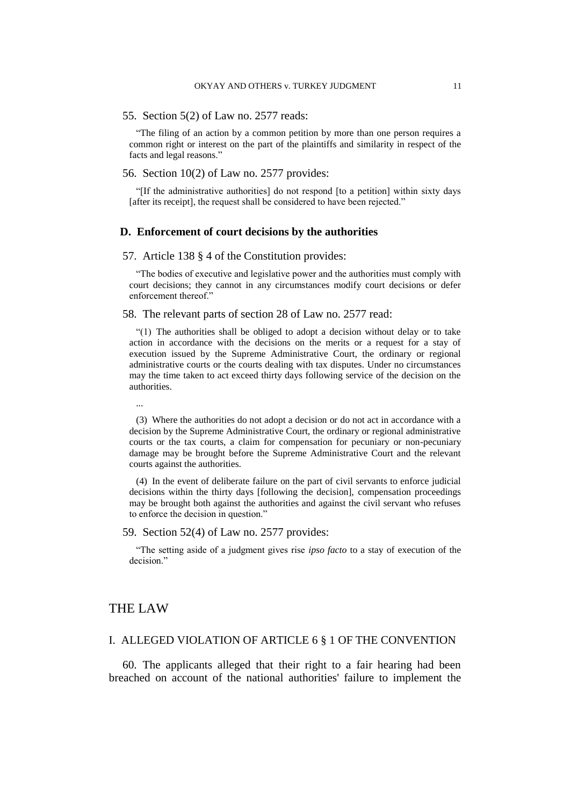#### 55. Section 5(2) of Law no. 2577 reads:

"The filing of an action by a common petition by more than one person requires a common right or interest on the part of the plaintiffs and similarity in respect of the facts and legal reasons."

## 56. Section 10(2) of Law no. 2577 provides:

"[If the administrative authorities] do not respond [to a petition] within sixty days [after its receipt], the request shall be considered to have been rejected."

## **D. Enforcement of court decisions by the authorities**

#### 57. Article 138 § 4 of the Constitution provides:

"The bodies of executive and legislative power and the authorities must comply with court decisions; they cannot in any circumstances modify court decisions or defer enforcement thereof."

#### 58. The relevant parts of section 28 of Law no. 2577 read:

"(1) The authorities shall be obliged to adopt a decision without delay or to take action in accordance with the decisions on the merits or a request for a stay of execution issued by the Supreme Administrative Court, the ordinary or regional administrative courts or the courts dealing with tax disputes. Under no circumstances may the time taken to act exceed thirty days following service of the decision on the authorities.

...

(3) Where the authorities do not adopt a decision or do not act in accordance with a decision by the Supreme Administrative Court, the ordinary or regional administrative courts or the tax courts, a claim for compensation for pecuniary or non-pecuniary damage may be brought before the Supreme Administrative Court and the relevant courts against the authorities.

(4) In the event of deliberate failure on the part of civil servants to enforce judicial decisions within the thirty days [following the decision], compensation proceedings may be brought both against the authorities and against the civil servant who refuses to enforce the decision in question."

#### 59. Section 52(4) of Law no. 2577 provides:

"The setting aside of a judgment gives rise *ipso facto* to a stay of execution of the decision."

## THE LAW

## I. ALLEGED VIOLATION OF ARTICLE 6 § 1 OF THE CONVENTION

60. The applicants alleged that their right to a fair hearing had been breached on account of the national authorities' failure to implement the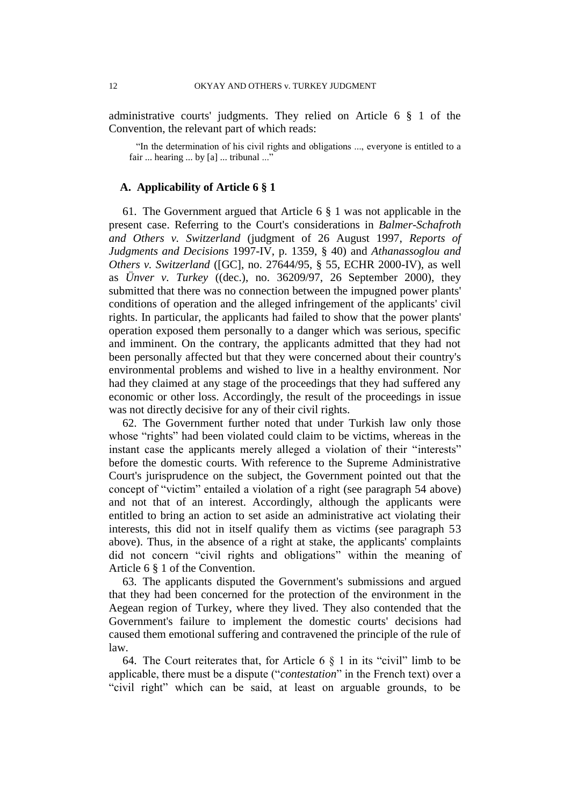administrative courts' judgments. They relied on Article 6 § 1 of the Convention, the relevant part of which reads:

"In the determination of his civil rights and obligations ..., everyone is entitled to a fair ... hearing ... by [a] ... tribunal ..."

## **A. Applicability of Article 6 § 1**

61. The Government argued that Article 6 § 1 was not applicable in the present case. Referring to the Court's considerations in *Balmer-Schafroth and Others v. Switzerland* (judgment of 26 August 1997, *Reports of Judgments and Decisions* 1997-IV, p. 1359, § 40) and *Athanassoglou and Others v. Switzerland* ([GC], no. 27644/95, § 55, ECHR 2000-IV), as well as *Ünver v. Turkey* ((dec.), no. 36209/97, 26 September 2000), they submitted that there was no connection between the impugned power plants' conditions of operation and the alleged infringement of the applicants' civil rights. In particular, the applicants had failed to show that the power plants' operation exposed them personally to a danger which was serious, specific and imminent. On the contrary, the applicants admitted that they had not been personally affected but that they were concerned about their country's environmental problems and wished to live in a healthy environment. Nor had they claimed at any stage of the proceedings that they had suffered any economic or other loss. Accordingly, the result of the proceedings in issue was not directly decisive for any of their civil rights.

62. The Government further noted that under Turkish law only those whose "rights" had been violated could claim to be victims, whereas in the instant case the applicants merely alleged a violation of their "interests" before the domestic courts. With reference to the Supreme Administrative Court's jurisprudence on the subject, the Government pointed out that the concept of "victim" entailed a violation of a right (see paragraph 54 above) and not that of an interest. Accordingly, although the applicants were entitled to bring an action to set aside an administrative act violating their interests, this did not in itself qualify them as victims (see paragraph 53 above). Thus, in the absence of a right at stake, the applicants' complaints did not concern "civil rights and obligations" within the meaning of Article 6 § 1 of the Convention.

63. The applicants disputed the Government's submissions and argued that they had been concerned for the protection of the environment in the Aegean region of Turkey, where they lived. They also contended that the Government's failure to implement the domestic courts' decisions had caused them emotional suffering and contravened the principle of the rule of law.

64. The Court reiterates that, for Article 6  $\S$  1 in its "civil" limb to be applicable, there must be a dispute ("*contestation*" in the French text) over a "civil right" which can be said, at least on arguable grounds, to be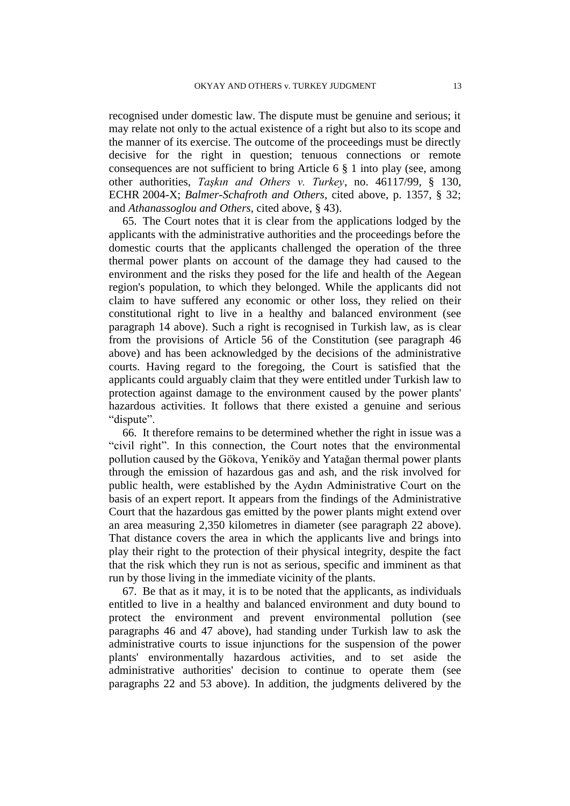recognised under domestic law. The dispute must be genuine and serious; it may relate not only to the actual existence of a right but also to its scope and the manner of its exercise. The outcome of the proceedings must be directly decisive for the right in question; tenuous connections or remote consequences are not sufficient to bring Article 6 § 1 into play (see, among other authorities, *Taşkın and Others v. Turkey*, no. 46117/99, § 130, ECHR 2004-X; *Balmer-Schafroth and Others*, cited above, p. 1357, § 32; and *Athanassoglou and Others*, cited above, § 43).

65. The Court notes that it is clear from the applications lodged by the applicants with the administrative authorities and the proceedings before the domestic courts that the applicants challenged the operation of the three thermal power plants on account of the damage they had caused to the environment and the risks they posed for the life and health of the Aegean region's population, to which they belonged. While the applicants did not claim to have suffered any economic or other loss, they relied on their constitutional right to live in a healthy and balanced environment (see paragraph 14 above). Such a right is recognised in Turkish law, as is clear from the provisions of Article 56 of the Constitution (see paragraph 46 above) and has been acknowledged by the decisions of the administrative courts. Having regard to the foregoing, the Court is satisfied that the applicants could arguably claim that they were entitled under Turkish law to protection against damage to the environment caused by the power plants' hazardous activities. It follows that there existed a genuine and serious "dispute".

66. It therefore remains to be determined whether the right in issue was a "civil right". In this connection, the Court notes that the environmental pollution caused by the Gökova, Yeniköy and Yatağan thermal power plants through the emission of hazardous gas and ash, and the risk involved for public health, were established by the Aydın Administrative Court on the basis of an expert report. It appears from the findings of the Administrative Court that the hazardous gas emitted by the power plants might extend over an area measuring 2,350 kilometres in diameter (see paragraph 22 above). That distance covers the area in which the applicants live and brings into play their right to the protection of their physical integrity, despite the fact that the risk which they run is not as serious, specific and imminent as that run by those living in the immediate vicinity of the plants.

67. Be that as it may, it is to be noted that the applicants, as individuals entitled to live in a healthy and balanced environment and duty bound to protect the environment and prevent environmental pollution (see paragraphs 46 and 47 above), had standing under Turkish law to ask the administrative courts to issue injunctions for the suspension of the power plants' environmentally hazardous activities, and to set aside the administrative authorities' decision to continue to operate them (see paragraphs 22 and 53 above). In addition, the judgments delivered by the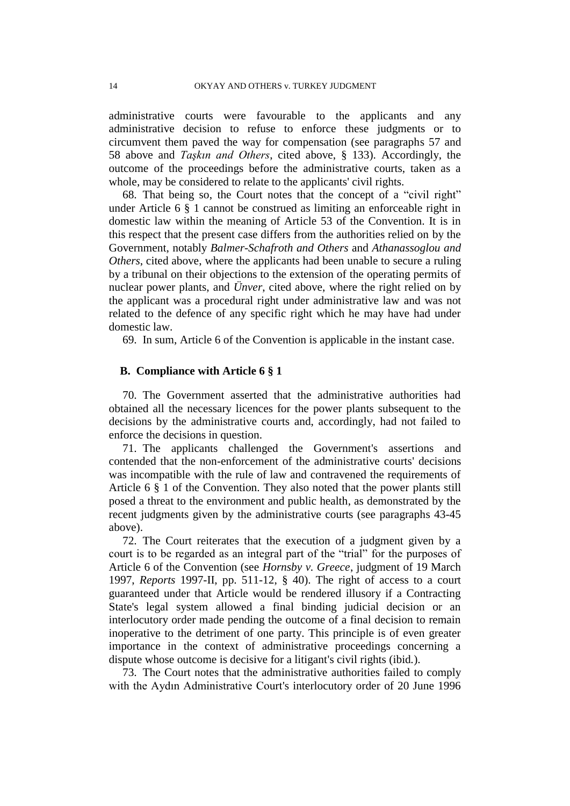administrative courts were favourable to the applicants and any administrative decision to refuse to enforce these judgments or to circumvent them paved the way for compensation (see paragraphs 57 and 58 above and *Taşkın and Others*, cited above, § 133). Accordingly, the outcome of the proceedings before the administrative courts, taken as a whole, may be considered to relate to the applicants' civil rights.

68. That being so, the Court notes that the concept of a "civil right" under Article 6 § 1 cannot be construed as limiting an enforceable right in domestic law within the meaning of Article 53 of the Convention. It is in this respect that the present case differs from the authorities relied on by the Government, notably *Balmer-Schafroth and Others* and *Athanassoglou and Others*, cited above, where the applicants had been unable to secure a ruling by a tribunal on their objections to the extension of the operating permits of nuclear power plants, and *Ünver*, cited above, where the right relied on by the applicant was a procedural right under administrative law and was not related to the defence of any specific right which he may have had under domestic law.

69. In sum, Article 6 of the Convention is applicable in the instant case.

## **B. Compliance with Article 6 § 1**

70. The Government asserted that the administrative authorities had obtained all the necessary licences for the power plants subsequent to the decisions by the administrative courts and, accordingly, had not failed to enforce the decisions in question.

71. The applicants challenged the Government's assertions and contended that the non-enforcement of the administrative courts' decisions was incompatible with the rule of law and contravened the requirements of Article 6 § 1 of the Convention. They also noted that the power plants still posed a threat to the environment and public health, as demonstrated by the recent judgments given by the administrative courts (see paragraphs 43-45 above).

72. The Court reiterates that the execution of a judgment given by a court is to be regarded as an integral part of the "trial" for the purposes of Article 6 of the Convention (see *Hornsby v. Greece*, judgment of 19 March 1997, *Reports* 1997-II, pp. 511-12, § 40). The right of access to a court guaranteed under that Article would be rendered illusory if a Contracting State's legal system allowed a final binding judicial decision or an interlocutory order made pending the outcome of a final decision to remain inoperative to the detriment of one party. This principle is of even greater importance in the context of administrative proceedings concerning a dispute whose outcome is decisive for a litigant's civil rights (ibid*.*).

73. The Court notes that the administrative authorities failed to comply with the Aydın Administrative Court's interlocutory order of 20 June 1996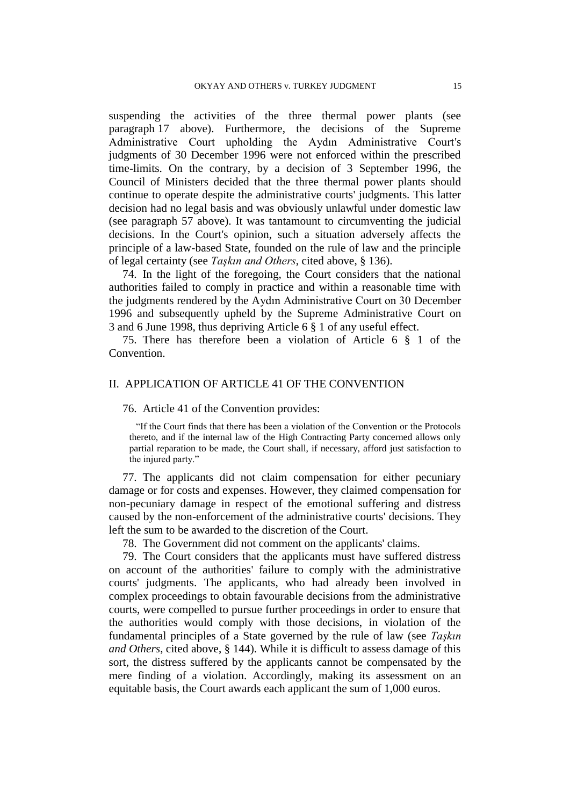suspending the activities of the three thermal power plants (see paragraph 17 above). Furthermore, the decisions of the Supreme Administrative Court upholding the Aydın Administrative Court's judgments of 30 December 1996 were not enforced within the prescribed time-limits. On the contrary, by a decision of 3 September 1996, the Council of Ministers decided that the three thermal power plants should continue to operate despite the administrative courts' judgments. This latter decision had no legal basis and was obviously unlawful under domestic law (see paragraph 57 above). It was tantamount to circumventing the judicial decisions. In the Court's opinion, such a situation adversely affects the principle of a law-based State, founded on the rule of law and the principle of legal certainty (see *Taşkın and Others*, cited above, § 136).

74. In the light of the foregoing, the Court considers that the national authorities failed to comply in practice and within a reasonable time with the judgments rendered by the Aydın Administrative Court on 30 December 1996 and subsequently upheld by the Supreme Administrative Court on 3 and 6 June 1998, thus depriving Article 6 § 1 of any useful effect.

75. There has therefore been a violation of Article 6 § 1 of the Convention.

# II. APPLICATION OF ARTICLE 41 OF THE CONVENTION

76. Article 41 of the Convention provides:

"If the Court finds that there has been a violation of the Convention or the Protocols thereto, and if the internal law of the High Contracting Party concerned allows only partial reparation to be made, the Court shall, if necessary, afford just satisfaction to the injured party."

77. The applicants did not claim compensation for either pecuniary damage or for costs and expenses. However, they claimed compensation for non-pecuniary damage in respect of the emotional suffering and distress caused by the non-enforcement of the administrative courts' decisions. They left the sum to be awarded to the discretion of the Court.

78. The Government did not comment on the applicants' claims.

79. The Court considers that the applicants must have suffered distress on account of the authorities' failure to comply with the administrative courts' judgments. The applicants, who had already been involved in complex proceedings to obtain favourable decisions from the administrative courts, were compelled to pursue further proceedings in order to ensure that the authorities would comply with those decisions, in violation of the fundamental principles of a State governed by the rule of law (see *Taşkın and Others*, cited above, § 144). While it is difficult to assess damage of this sort, the distress suffered by the applicants cannot be compensated by the mere finding of a violation. Accordingly, making its assessment on an equitable basis, the Court awards each applicant the sum of 1,000 euros.